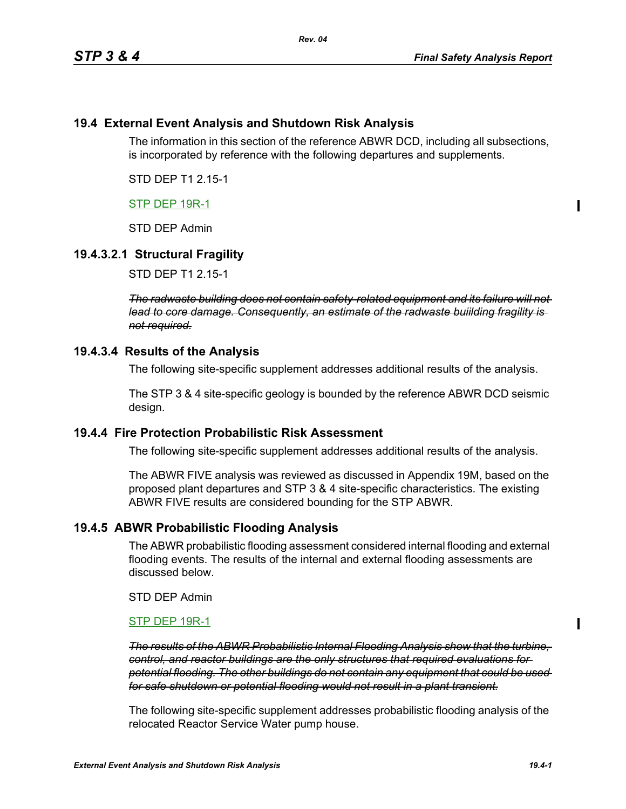# **19.4 External Event Analysis and Shutdown Risk Analysis**

The information in this section of the reference ABWR DCD, including all subsections, is incorporated by reference with the following departures and supplements.

STD DEP T1 2.15-1

# STP DEP 19R-1

STD DEP Admin

# **19.4.3.2.1 Structural Fragility**

STD DEP T1 2.15-1

*The radwaste building does not contain safety-related equipment and its failure will not lead to core damage. Consequently, an estimate of the radwaste buiilding fragility is not required.*

### **19.4.3.4 Results of the Analysis**

The following site-specific supplement addresses additional results of the analysis.

The STP 3 & 4 site-specific geology is bounded by the reference ABWR DCD seismic design.

### **19.4.4 Fire Protection Probabilistic Risk Assessment**

The following site-specific supplement addresses additional results of the analysis.

The ABWR FIVE analysis was reviewed as discussed in Appendix 19M, based on the proposed plant departures and STP 3 & 4 site-specific characteristics. The existing ABWR FIVE results are considered bounding for the STP ABWR.

# **19.4.5 ABWR Probabilistic Flooding Analysis**

The ABWR probabilistic flooding assessment considered internal flooding and external flooding events. The results of the internal and external flooding assessments are discussed below.

STD DEP Admin

### STP DEP 19R-1

*The results of the ABWR Probabilistic Internal Flooding Analysis show that the turbine, control, and reactor buildings are the only structures that required evaluations for potential flooding. The other buildings do not contain any equipment that could be used for safe shutdown or potential flooding would not result in a plant transient.*

The following site-specific supplement addresses probabilistic flooding analysis of the relocated Reactor Service Water pump house.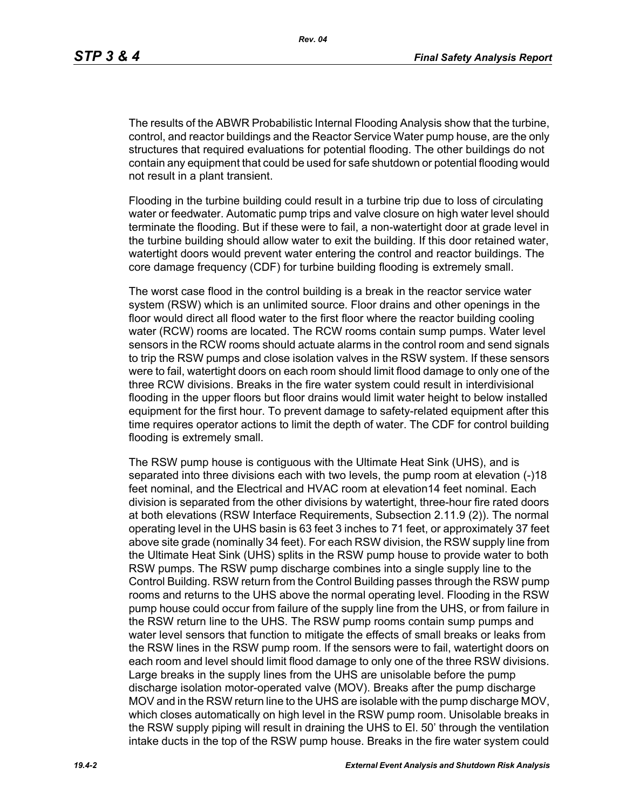The results of the ABWR Probabilistic Internal Flooding Analysis show that the turbine, control, and reactor buildings and the Reactor Service Water pump house, are the only structures that required evaluations for potential flooding. The other buildings do not contain any equipment that could be used for safe shutdown or potential flooding would not result in a plant transient.

Flooding in the turbine building could result in a turbine trip due to loss of circulating water or feedwater. Automatic pump trips and valve closure on high water level should terminate the flooding. But if these were to fail, a non-watertight door at grade level in the turbine building should allow water to exit the building. If this door retained water, watertight doors would prevent water entering the control and reactor buildings. The core damage frequency (CDF) for turbine building flooding is extremely small.

The worst case flood in the control building is a break in the reactor service water system (RSW) which is an unlimited source. Floor drains and other openings in the floor would direct all flood water to the first floor where the reactor building cooling water (RCW) rooms are located. The RCW rooms contain sump pumps. Water level sensors in the RCW rooms should actuate alarms in the control room and send signals to trip the RSW pumps and close isolation valves in the RSW system. If these sensors were to fail, watertight doors on each room should limit flood damage to only one of the three RCW divisions. Breaks in the fire water system could result in interdivisional flooding in the upper floors but floor drains would limit water height to below installed equipment for the first hour. To prevent damage to safety-related equipment after this time requires operator actions to limit the depth of water. The CDF for control building flooding is extremely small.

The RSW pump house is contiguous with the Ultimate Heat Sink (UHS), and is separated into three divisions each with two levels, the pump room at elevation (-)18 feet nominal, and the Electrical and HVAC room at elevation14 feet nominal. Each division is separated from the other divisions by watertight, three-hour fire rated doors at both elevations (RSW Interface Requirements, Subsection 2.11.9 (2)). The normal operating level in the UHS basin is 63 feet 3 inches to 71 feet, or approximately 37 feet above site grade (nominally 34 feet). For each RSW division, the RSW supply line from the Ultimate Heat Sink (UHS) splits in the RSW pump house to provide water to both RSW pumps. The RSW pump discharge combines into a single supply line to the Control Building. RSW return from the Control Building passes through the RSW pump rooms and returns to the UHS above the normal operating level. Flooding in the RSW pump house could occur from failure of the supply line from the UHS, or from failure in the RSW return line to the UHS. The RSW pump rooms contain sump pumps and water level sensors that function to mitigate the effects of small breaks or leaks from the RSW lines in the RSW pump room. If the sensors were to fail, watertight doors on each room and level should limit flood damage to only one of the three RSW divisions. Large breaks in the supply lines from the UHS are unisolable before the pump discharge isolation motor-operated valve (MOV). Breaks after the pump discharge MOV and in the RSW return line to the UHS are isolable with the pump discharge MOV, which closes automatically on high level in the RSW pump room. Unisolable breaks in the RSW supply piping will result in draining the UHS to El. 50' through the ventilation intake ducts in the top of the RSW pump house. Breaks in the fire water system could